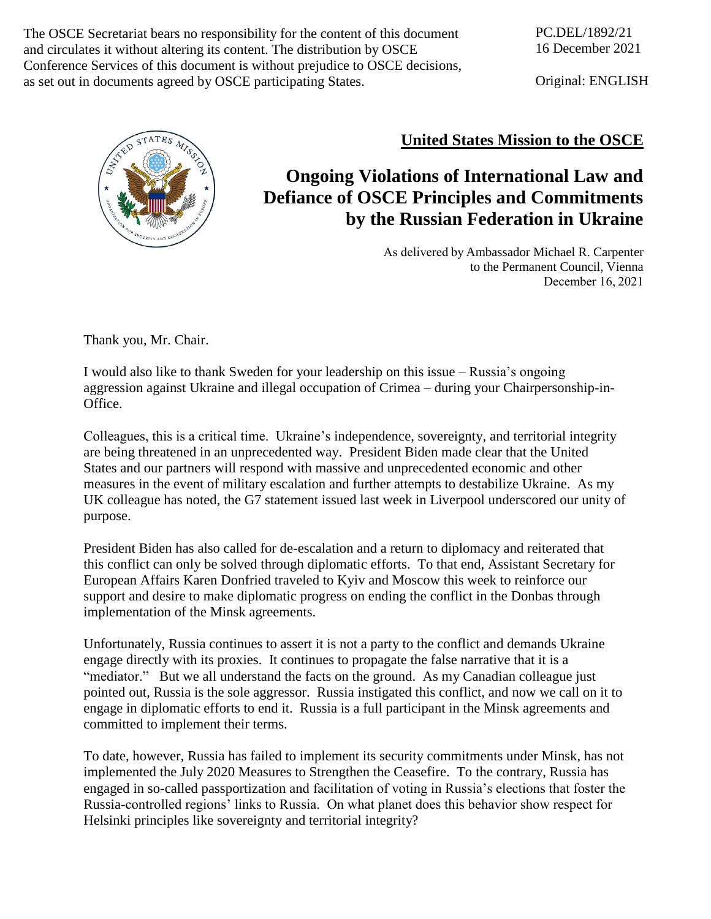The OSCE Secretariat bears no responsibility for the content of this document and circulates it without altering its content. The distribution by OSCE Conference Services of this document is without prejudice to OSCE decisions, as set out in documents agreed by OSCE participating States.

Original: ENGLISH



## **United States Mission to the OSCE**

## **Ongoing Violations of International Law and Defiance of OSCE Principles and Commitments by the Russian Federation in Ukraine**

As delivered by Ambassador Michael R. Carpenter to the Permanent Council, Vienna December 16, 2021

Thank you, Mr. Chair.

I would also like to thank Sweden for your leadership on this issue – Russia's ongoing aggression against Ukraine and illegal occupation of Crimea – during your Chairpersonship-in-Office.

Colleagues, this is a critical time. Ukraine's independence, sovereignty, and territorial integrity are being threatened in an unprecedented way. President Biden made clear that the United States and our partners will respond with massive and unprecedented economic and other measures in the event of military escalation and further attempts to destabilize Ukraine. As my UK colleague has noted, the G7 statement issued last week in Liverpool underscored our unity of purpose.

President Biden has also called for de-escalation and a return to diplomacy and reiterated that this conflict can only be solved through diplomatic efforts. To that end, Assistant Secretary for European Affairs Karen Donfried traveled to Kyiv and Moscow this week to reinforce our support and desire to make diplomatic progress on ending the conflict in the Donbas through implementation of the Minsk agreements.

Unfortunately, Russia continues to assert it is not a party to the conflict and demands Ukraine engage directly with its proxies. It continues to propagate the false narrative that it is a "mediator." But we all understand the facts on the ground. As my Canadian colleague just pointed out, Russia is the sole aggressor. Russia instigated this conflict, and now we call on it to engage in diplomatic efforts to end it. Russia is a full participant in the Minsk agreements and committed to implement their terms.

To date, however, Russia has failed to implement its security commitments under Minsk, has not implemented the July 2020 Measures to Strengthen the Ceasefire. To the contrary, Russia has engaged in so-called passportization and facilitation of voting in Russia's elections that foster the Russia-controlled regions' links to Russia. On what planet does this behavior show respect for Helsinki principles like sovereignty and territorial integrity?